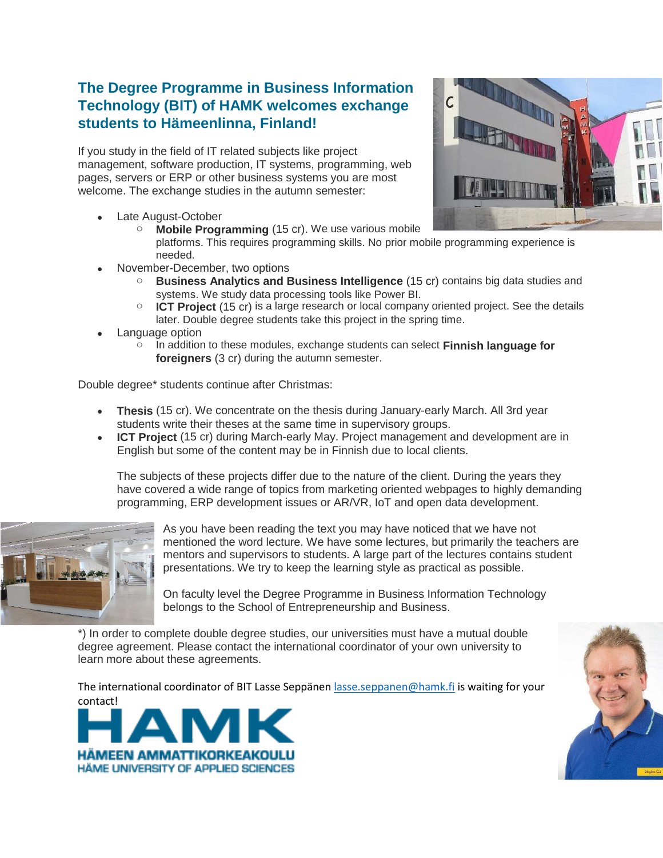## **The Degree Programme in Business Information Technology (BIT) of HAMK welcomes exchange students to Hämeenlinna, Finland!**

If you study in the field of IT related subjects like project management, software production, IT systems, programming, web pages, servers or ERP or other business systems you are most welcome. The exchange studies in the autumn semester:

- Late August-October
	- **Mobile Programming** (15 cr). We use various mobile platforms. This requires programming skills. No prior mobile programming experience is
- November-December, two options

needed.

- o **Business Analytics and Business Intelligence** (15 cr) contains big data studies and systems. We study data processing tools like Power BI.
- o **ICT Project** (15 cr) is a large research or local company oriented project. See the details later. Double degree students take this project in the spring time.
- Language option
	- o In addition to these modules, exchange students can select **Finnish language for foreigners** (3 cr) during the autumn semester.

Double degree\* students continue after Christmas:

- **Thesis** (15 cr). We concentrate on the thesis during January-early March. All 3rd year students write their theses at the same time in supervisory groups.
- **ICT Project** (15 cr) during March-early May. Project management and development are in English but some of the content may be in Finnish due to local clients.

The subjects of these projects differ due to the nature of the client. During the years they have covered a wide range of topics from marketing oriented webpages to highly demanding programming, ERP development issues or AR/VR, IoT and open data development.



As you have been reading the text you may have noticed that we have not mentioned the word lecture. We have some lectures, but primarily the teachers are mentors and supervisors to students. A large part of the lectures contains student presentations. We try to keep the learning style as practical as possible.

On faculty level the Degree Programme in Business Information Technology belongs to the [School of Entrepreneurship and Business.](http://www.hamk.fi/english/about-hamk/schools/Sivut/default.aspx)

\*) In order to complete double degree studies, our universities must have a mutual double degree agreement. Please contact the international coordinator of your own university to learn more about these agreements.

The international coordinator of BIT Lasse Seppäne[n lasse.seppanen@hamk.fi](mailto:lasse.seppanen@hamk.fi) is waiting for your contact!